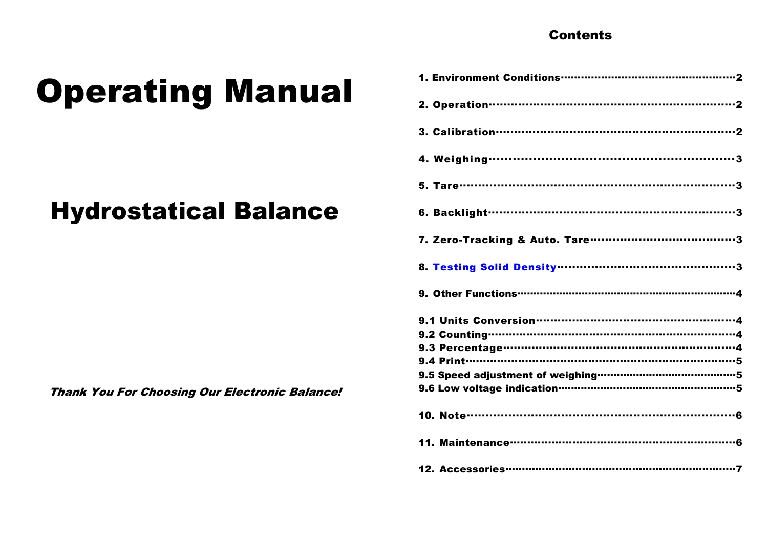# **Contents**

# **Operating Manual**

# **Hydrostatical Balance**

**Thank You For Choosing Our Electronic Balance!** 

| 8. Testing Solid Density <b>municipal continuous</b> 3 |
|--------------------------------------------------------|
|                                                        |
|                                                        |
|                                                        |
|                                                        |
|                                                        |
|                                                        |
|                                                        |
|                                                        |
|                                                        |
|                                                        |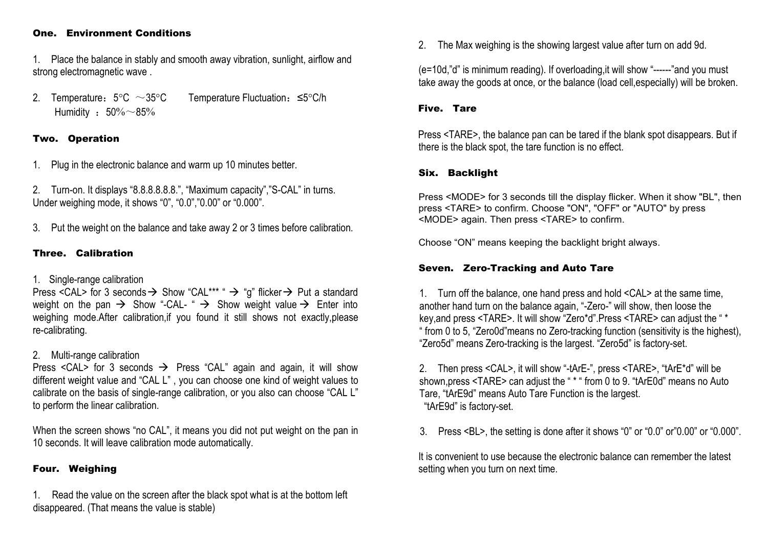#### One. Environment Conditions

1. Place the balance in stably and smooth away vibration, sunlight, airflow and strong electromagnetic wave .

2. Temperature:  $5^{\circ}$ C  $\sim$  35°C Temperature Fluctuation: ≤5°C/h Humidity :  $50\%$  ~85%

# Two. Operation

1. Plug in the electronic balance and warm up 10 minutes better.

2. Turn-on. It displays "8.8.8.8.8.8.", "Maximum capacity","S-CAL" in turns. Under weighing mode, it shows "0", "0.0","0.00" or "0.000".

3. Put the weight on the balance and take away 2 or 3 times before calibration.

# Three. Calibration

# 1. Single-range calibration

Press <CAL> for 3 seconds  $\rightarrow$  Show "CAL\*\*\* "  $\rightarrow$  "g" flicker  $\rightarrow$  Put a standard weight on the pan  $\rightarrow$  Show "-CAL-"  $\rightarrow$  Show weight value  $\rightarrow$  Enter into weighing mode.After calibration,if you found it still shows not exactly,please re-calibrating.

# 2. Multi-range calibration

Press <CAL> for 3 seconds  $\rightarrow$  Press "CAL" again and again, it will show different weight value and "CAL L", you can choose one kind of weight values to calibrate on the basis of single-range calibration, or you also can choose "CAL L" to perform the linear calibration.

When the screen shows "no CAL", it means you did not put weight on the pan in 10 seconds. It will leave calibration mode automatically.

# Four. Weighing

1. Read the value on the screen after the black spot what is at the bottom left disappeared. (That means the value is stable)

2. The Max weighing is the showing largest value after turn on add 9d.

(e=10d,"d" is minimum reading). If overloading,it will show "------"and you must take away the goods at once, or the balance (load cell,especially) will be broken.

#### Five. Tare

Press <TARE>, the balance pan can be tared if the blank spot disappears. But if there is the black spot, the tare function is no effect.

# Six. Backlight

Press <MODE> for 3 seconds till the display flicker. When it show "BL", then press <TARE> to confirm. Choose "ON", "OFF" or "AUTO" by press <MODE> again. Then press <TARE> to confirm.

Choose "ON" means keeping the backlight bright always.

# Seven. Zero-Tracking and Auto Tare

1. Turn off the balance, one hand press and hold <CAL> at the same time, another hand turn on the balance again, "-Zero-" will show, then loose the key,and press <TARE>. It will show "Zero\*d".Press <TARE> can adjust the " \* " from 0 to 5, "Zero0d"means no Zero-tracking function (sensitivity is the highest), "Zero5d" means Zero-tracking is the largest. "Zero5d" is factory-set.

2. Then press <CAL>, it will show "-tArE-", press <TARE>, "tArE\*d" will be shown,press <TARE> can adjust the " \* " from 0 to 9. "tArE0d" means no Auto Tare, "tArE9d" means Auto Tare Function is the largest. "tArE9d" is factory-set.

3. Press <BL>, the setting is done after it shows "0" or "0.0" or"0.00" or "0.000".

It is convenient to use because the electronic balance can remember the latest setting when you turn on next time.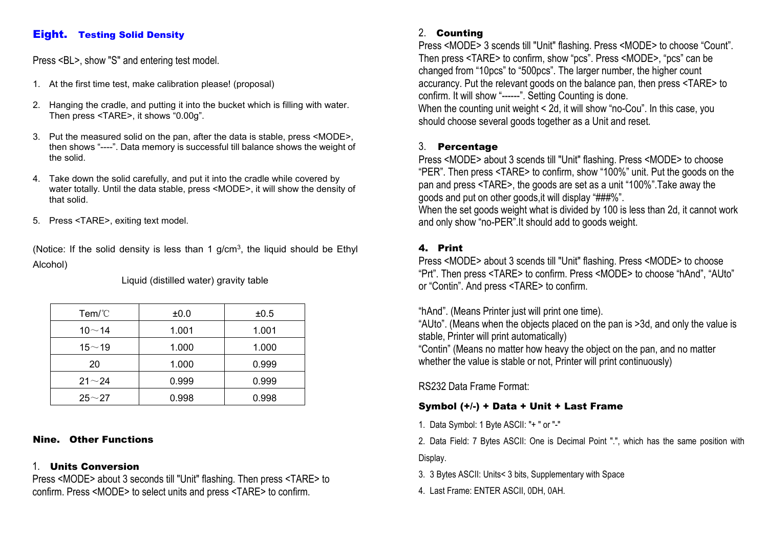# Eight. Testing Solid Density

Press <BL>, show "S" and entering test model.

- 1. At the first time test, make calibration please! (proposal)
- 2. Hanging the cradle, and putting it into the bucket which is filling with water. Then press <TARE>, it shows "0.00g".
- 3. Put the measured solid on the pan, after the data is stable, press <MODE>, then shows "----". Data memory is successful till balance shows the weight of the solid.
- 4. Take down the solid carefully, and put it into the cradle while covered by water totally. Until the data stable, press <MODE>, it will show the density of that solid.
- 5. Press <TARE>, exiting text model.

(Notice: If the solid density is less than 1 g/cm<sup>3</sup>, the liquid should be Ethyl **4.** Alcohol)

Liquid (distilled water) gravity table

| Tem/C        | ±0.0  | ±0.5  |
|--------------|-------|-------|
| $10 - 14$    | 1.001 | 1.001 |
| 15 $\sim$ 19 | 1.000 | 1.000 |
| 20           | 1.000 | 0.999 |
| $21 - 24$    | 0.999 | 0.999 |
| $25 - 27$    | 0.998 | 0.998 |

# Nine. Other Functions

# 1. Units Conversion

Press <MODE> about 3 seconds till "Unit" flashing. Then press <TARE> to confirm. Press <MODE> to select units and press <TARE> to confirm.

# 2. Counting

Press <MODE> 3 scends till "Unit" flashing. Press <MODE> to choose "Count". Then press <TARE> to confirm, show "pcs". Press <MODE>, "pcs" can be changed from "10pcs" to "500pcs". The larger number, the higher count accurancy. Put the relevant goods on the balance pan, then press <TARE> to confirm. It will show "------". Setting Counting is done.

When the counting unit weight < 2d, it will show "no-Cou". In this case, you should choose several goods together as a Unit and reset.

# 3. Percentage

Press <MODE> about 3 scends till "Unit" flashing. Press <MODE> to choose "PER". Then press <TARE> to confirm, show "100%" unit. Put the goods on the pan and press <TARE>, the goods are set as a unit "100%".Take away the goods and put on other goods,it will display "###%".

When the set goods weight what is divided by 100 is less than 2d, it cannot work and only show "no-PER".It should add to goods weight.

# 4. Print

Press <MODE> about 3 scends till "Unit" flashing. Press <MODE> to choose "Prt". Then press <TARE> to confirm. Press <MODE> to choose "hAnd", "AUto" or "Contin". And press <TARE> to confirm.

"hAnd". (Means Printer just will print one time).

"AUto". (Means when the objects placed on the pan is>3d, and only the value is stable, Printer will print automatically)

"Contin" (Means no matter how heavy the object on the pan, and no matter whether the value is stable or not. Printer will print continuously)

RS232 Data Frame Format:

# Symbol (+/-) + Data + Unit + Last Frame

1. Data Symbol: 1 Byte ASCII: "+ " or "-"

2. Data Field: 7 Bytes ASCII: One is Decimal Point ".", which has the same position with

Display.

3. 3 Bytes ASCII: Units< 3 bits, Supplementary with Space

4. Last Frame: ENTER ASCII, 0DH, 0AH.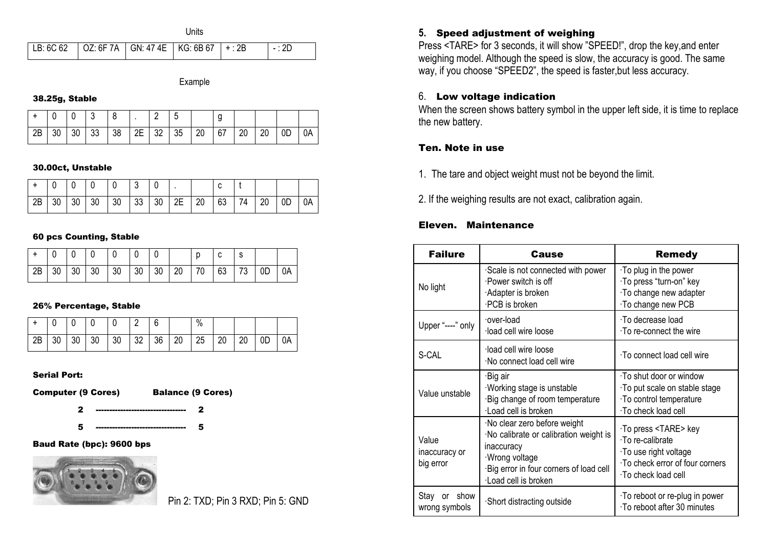**Units** 

#### Example

#### 38.25g, Stable

|    |    | $\mathbf 0$ | -3 |    |    | <u>.</u>       |    |    | У  |    |    |                |    |
|----|----|-------------|----|----|----|----------------|----|----|----|----|----|----------------|----|
| 2B | 30 | 30          | 33 | 38 | 2E | $^{\prime}$ 32 | 35 | 20 | 67 | 20 | 20 | 0 <sub>D</sub> | 0A |

#### 30.00ct, Unstable

|    |    | 0  |    | $\Omega$ | ົ<br>- പ |                 |    |    | $\sim$ |    |    |    |    |
|----|----|----|----|----------|----------|-----------------|----|----|--------|----|----|----|----|
| 2B | 30 | 30 | 30 | 30       | 33       | 30 <sup>°</sup> | 2E | 20 | 63     | 74 | 20 | 0D | 0A |

#### 60 pcs Counting, Stable

| $+$         |    |                 |                 |    | $\mathbf 0$ |             |    | C  |    |    |    |
|-------------|----|-----------------|-----------------|----|-------------|-------------|----|----|----|----|----|
| $\sqrt{2B}$ | 30 | 30 <sub>1</sub> | 30 <sup>°</sup> | 30 | 30 30       | $\sqrt{20}$ | 70 | 63 | 73 | 0D | 0A |

#### 26% Percentage, Stable

|    |    |    |    |    | ⌒<br><u>.</u> | 6  |    | $\%$ |    |    |    |    |
|----|----|----|----|----|---------------|----|----|------|----|----|----|----|
| 2B | 30 | 30 | 30 | 30 | 32            | 36 | 20 | 25   | 20 | 20 | 0D | 0A |

#### Serial Port:

Computer (9 Cores) Balance (9 Cores)

2 --------------------------------- 2 5 --------------------------------- 5

# Baud Rate (bpc): 9600 bps



# Pin 2: TXD; Pin 3 RXD; Pin 5: GND

#### **5.** Speed adjustment of weighing

Press <TARE> for 3 seconds, it will show "SPEED!", drop the key,and enter weighing model. Although the speed is slow, the accuracy is good. The same way, if you choose "SPEED2", the speed is faster,but less accuracy.

# 6. Low voltage indication

When the screen shows battery symbol in the upper left side, it is time to replace the new battery.

#### Ten. Note in use

- 1. The tare and object weight must not be beyond the limit.
- 2. If the weighing results are not exact, calibration again.

#### Eleven. Maintenance

| <b>Failure</b>                      | Cause                                                                                                                                                                   | <b>Remedy</b>                                                                                                                         |
|-------------------------------------|-------------------------------------------------------------------------------------------------------------------------------------------------------------------------|---------------------------------------------------------------------------------------------------------------------------------------|
| No light                            | Scale is not connected with power<br>·Power switch is off<br>Adapter is broken<br>·PCB is broken                                                                        | $\cdot$ To plug in the power<br>·To press "turn-on" key<br>· To change new adapter<br>To change new PCB                               |
| Upper "----" only                   | over-load<br>·load cell wire loose                                                                                                                                      | ·To decrease load<br>To re-connect the wire                                                                                           |
| S-CAL                               | ·load cell wire loose<br>·No connect load cell wire                                                                                                                     | ∙To connect load cell wire                                                                                                            |
| Value unstable                      | ·Big air<br>Working stage is unstable<br>Big change of room temperature<br>·Load cell is broken                                                                         | $\cdot$ To shut door or window<br>To put scale on stable stage<br>· To control temperature<br>·To check load cell                     |
| Value<br>inaccuracy or<br>big error | ·No clear zero before weight<br>·No calibrate or calibration weight is<br>inaccuracy<br>Wrong voltage<br>Big error in four corners of load cell<br>·Load cell is broken | To press <tare> key<br/>∙To re-calibrate<br/>To use right voltage<br/>· To check error of four corners<br/>∙To check load cell</tare> |
| Stay or<br>show<br>wrong symbols    | ·Short distracting outside                                                                                                                                              | To reboot or re-plug in power<br>· To reboot after 30 minutes                                                                         |